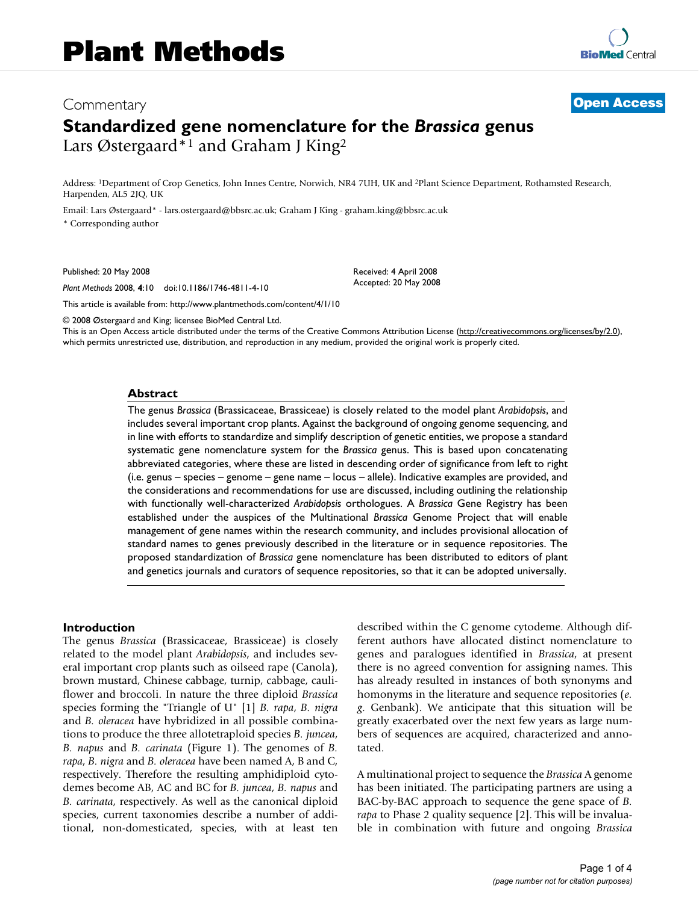# Commentary **[Open Access](http://www.biomedcentral.com/info/about/charter/) Standardized gene nomenclature for the** *Brassica* **genus** Lars Østergaard<sup>\*1</sup> and Graham J King<sup>2</sup>

Address: 1Department of Crop Genetics, John Innes Centre, Norwich, NR4 7UH, UK and 2Plant Science Department, Rothamsted Research, Harpenden, AL5 2JQ, UK

Email: Lars Østergaard\* - lars.ostergaard@bbsrc.ac.uk; Graham J King - graham.king@bbsrc.ac.uk \* Corresponding author

Published: 20 May 2008

*Plant Methods* 2008, **4**:10 doi:10.1186/1746-4811-4-10

[This article is available from: http://www.plantmethods.com/content/4/1/10](http://www.plantmethods.com/content/4/1/10)

© 2008 Østergaard and King; licensee BioMed Central Ltd.

This is an Open Access article distributed under the terms of the Creative Commons Attribution License [\(http://creativecommons.org/licenses/by/2.0\)](http://creativecommons.org/licenses/by/2.0), which permits unrestricted use, distribution, and reproduction in any medium, provided the original work is properly cited.

Received: 4 April 2008 Accepted: 20 May 2008

#### **Abstract**

The genus *Brassica* (Brassicaceae, Brassiceae) is closely related to the model plant *Arabidopsis*, and includes several important crop plants. Against the background of ongoing genome sequencing, and in line with efforts to standardize and simplify description of genetic entities, we propose a standard systematic gene nomenclature system for the *Brassica* genus. This is based upon concatenating abbreviated categories, where these are listed in descending order of significance from left to right (i.e. genus – species – genome – gene name – locus – allele). Indicative examples are provided, and the considerations and recommendations for use are discussed, including outlining the relationship with functionally well-characterized *Arabidopsis* orthologues. A *Brassica* Gene Registry has been established under the auspices of the Multinational *Brassica* Genome Project that will enable management of gene names within the research community, and includes provisional allocation of standard names to genes previously described in the literature or in sequence repositories. The proposed standardization of *Brassica* gene nomenclature has been distributed to editors of plant and genetics journals and curators of sequence repositories, so that it can be adopted universally.

### **Introduction**

The genus *Brassica* (Brassicaceae, Brassiceae) is closely related to the model plant *Arabidopsis*, and includes several important crop plants such as oilseed rape (Canola), brown mustard, Chinese cabbage, turnip, cabbage, cauliflower and broccoli. In nature the three diploid *Brassica* species forming the "Triangle of U" [1] *B. rapa*, *B. nigra* and *B. oleracea* have hybridized in all possible combinations to produce the three allotetraploid species *B. juncea*, *B. napus* and *B. carinata* (Figure 1). The genomes of *B. rapa*, *B. nigra* and *B. oleracea* have been named A, B and C, respectively. Therefore the resulting amphidiploid cytodemes become AB, AC and BC for *B. juncea*, *B. napus* and *B. carinata*, respectively. As well as the canonical diploid species, current taxonomies describe a number of additional, non-domesticated, species, with at least ten described within the C genome cytodeme. Although different authors have allocated distinct nomenclature to genes and paralogues identified in *Brassica*, at present there is no agreed convention for assigning names. This has already resulted in instances of both synonyms and homonyms in the literature and sequence repositories (*e. g*. Genbank). We anticipate that this situation will be greatly exacerbated over the next few years as large numbers of sequences are acquired, characterized and annotated.

A multinational project to sequence the *Brassica* A genome has been initiated. The participating partners are using a BAC-by-BAC approach to sequence the gene space of *B. rapa* to Phase 2 quality sequence [2]. This will be invaluable in combination with future and ongoing *Brassica*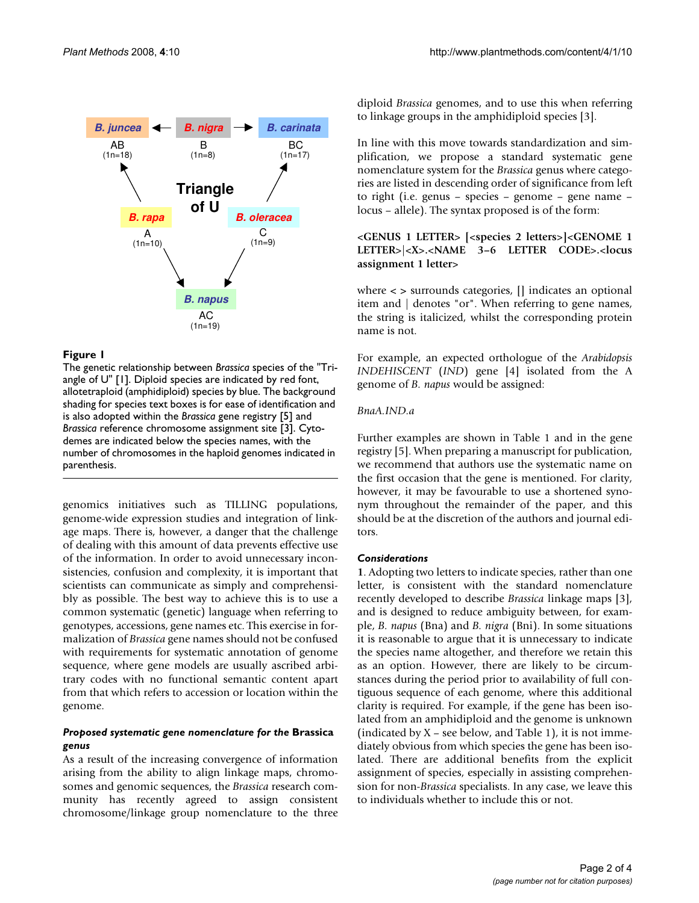

# Figure 1

The genetic relationship between *Brassica* species of the "Triangle of U" [1]. Diploid species are indicated by red font, allotetraploid (amphidiploid) species by blue. The background shading for species text boxes is for ease of identification and is also adopted within the *Brassica* gene registry [5] and *Brassica* reference chromosome assignment site [3]. Cytodemes are indicated below the species names, with the number of chromosomes in the haploid genomes indicated in parenthesis.

genomics initiatives such as TILLING populations, genome-wide expression studies and integration of linkage maps. There is, however, a danger that the challenge of dealing with this amount of data prevents effective use of the information. In order to avoid unnecessary inconsistencies, confusion and complexity, it is important that scientists can communicate as simply and comprehensibly as possible. The best way to achieve this is to use a common systematic (genetic) language when referring to genotypes, accessions, gene names etc. This exercise in formalization of *Brassica* gene names should not be confused with requirements for systematic annotation of genome sequence, where gene models are usually ascribed arbitrary codes with no functional semantic content apart from that which refers to accession or location within the genome.

# *Proposed systematic gene nomenclature for the* **Brassica**  *genus*

As a result of the increasing convergence of information arising from the ability to align linkage maps, chromosomes and genomic sequences, the *Brassica* research community has recently agreed to assign consistent chromosome/linkage group nomenclature to the three diploid *Brassica* genomes, and to use this when referring to linkage groups in the amphidiploid species [3].

In line with this move towards standardization and simplification, we propose a standard systematic gene nomenclature system for the *Brassica* genus where categories are listed in descending order of significance from left to right (i.e. genus – species – genome – gene name – locus – allele). The syntax proposed is of the form:

# **<GENUS 1 LETTER> [<species 2 letters>]<GENOME 1 LETTER>|<X>.<NAME 3–6 LETTER CODE>.<locus assignment 1 letter>**

where  $\lt$  > surrounds categories, [] indicates an optional item and | denotes "or". When referring to gene names, the string is italicized, whilst the corresponding protein name is not.

For example, an expected orthologue of the *Arabidopsis INDEHISCENT* (*IND*) gene [4] isolated from the A genome of *B. napus* would be assigned:

### *BnaA.IND.a*

Further examples are shown in Table 1 and in the gene registry [5]. When preparing a manuscript for publication, we recommend that authors use the systematic name on the first occasion that the gene is mentioned. For clarity, however, it may be favourable to use a shortened synonym throughout the remainder of the paper, and this should be at the discretion of the authors and journal editors.

#### *Considerations*

**1**. Adopting two letters to indicate species, rather than one letter, is consistent with the standard nomenclature recently developed to describe *Brassica* linkage maps [3], and is designed to reduce ambiguity between, for example, *B. napus* (Bna) and *B. nigra* (Bni). In some situations it is reasonable to argue that it is unnecessary to indicate the species name altogether, and therefore we retain this as an option. However, there are likely to be circumstances during the period prior to availability of full contiguous sequence of each genome, where this additional clarity is required. For example, if the gene has been isolated from an amphidiploid and the genome is unknown (indicated by  $X$  – see below, and Table 1), it is not immediately obvious from which species the gene has been isolated. There are additional benefits from the explicit assignment of species, especially in assisting comprehension for non-*Brassica* specialists. In any case, we leave this to individuals whether to include this or not.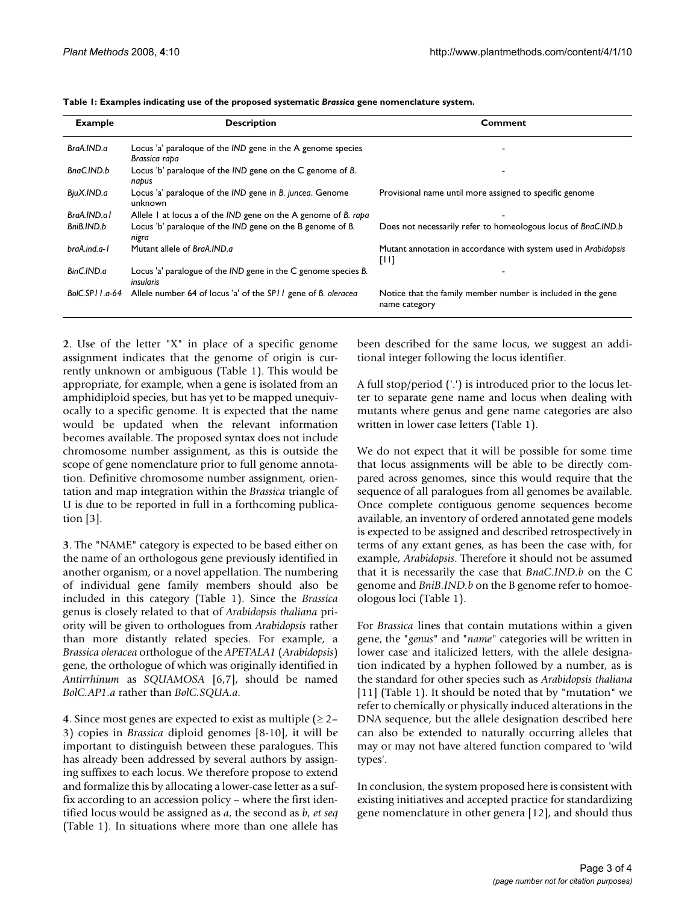| <b>Example</b> | <b>Description</b>                                                           | Comment                                                                       |
|----------------|------------------------------------------------------------------------------|-------------------------------------------------------------------------------|
| BraA.IND.a     | Locus 'a' paralogue of the IND gene in the A genome species<br>Brassica rapa |                                                                               |
| BnaC.IND.b     | Locus 'b' paraloque of the IND gene on the C genome of B.<br>napus           |                                                                               |
| BjuX.IND.a     | Locus 'a' paraloque of the IND gene in B. juncea. Genome<br>unknown          | Provisional name until more assigned to specific genome                       |
| BraA.IND.a l   | Allele 1 at locus a of the IND gene on the A genome of B. rapa               |                                                                               |
| BniB.IND.b     | Locus 'b' paralogue of the IND gene on the B genome of B.<br>nigra           | Does not necessarily refer to homeologous locus of BnaC.IND.b                 |
| braA.ind.a-1   | Mutant allele of BraA.IND.a                                                  | Mutant annotation in accordance with system used in Arabidopsis<br>TU 11      |
| BinC.IND.a     | Locus 'a' paralogue of the IND gene in the C genome species B.<br>insularis  |                                                                               |
|                | BolC.SPII.a-64 Allele number 64 of locus 'a' of the SPII gene of B. oleracea | Notice that the family member number is included in the gene<br>name category |

**Table 1: Examples indicating use of the proposed systematic** *Brassica* **gene nomenclature system.**

**2**. Use of the letter "X" in place of a specific genome assignment indicates that the genome of origin is currently unknown or ambiguous (Table 1). This would be appropriate, for example, when a gene is isolated from an amphidiploid species, but has yet to be mapped unequivocally to a specific genome. It is expected that the name would be updated when the relevant information becomes available. The proposed syntax does not include chromosome number assignment, as this is outside the scope of gene nomenclature prior to full genome annotation. Definitive chromosome number assignment, orientation and map integration within the *Brassica* triangle of U is due to be reported in full in a forthcoming publication [3].

**3**. The "NAME" category is expected to be based either on the name of an orthologous gene previously identified in another organism, or a novel appellation. The numbering of individual gene family members should also be included in this category (Table 1). Since the *Brassica* genus is closely related to that of *Arabidopsis thaliana* priority will be given to orthologues from *Arabidopsis* rather than more distantly related species. For example, a *Brassica oleracea* orthologue of the *APETALA1* (*Arabidopsis*) gene, the orthologue of which was originally identified in *Antirrhinum* as *SQUAMOSA* [6,7], should be named *BolC.AP1.a* rather than *BolC.SQUA.a*.

**4**. Since most genes are expected to exist as multiple  $(\geq 2 - \frac{1}{2})$ 3) copies in *Brassica* diploid genomes [8-10], it will be important to distinguish between these paralogues. This has already been addressed by several authors by assigning suffixes to each locus. We therefore propose to extend and formalize this by allocating a lower-case letter as a suffix according to an accession policy – where the first identified locus would be assigned as *a*, the second as *b*, *et seq* (Table 1). In situations where more than one allele has

been described for the same locus, we suggest an additional integer following the locus identifier.

A full stop/period ('.') is introduced prior to the locus letter to separate gene name and locus when dealing with mutants where genus and gene name categories are also written in lower case letters (Table 1).

We do not expect that it will be possible for some time that locus assignments will be able to be directly compared across genomes, since this would require that the sequence of all paralogues from all genomes be available. Once complete contiguous genome sequences become available, an inventory of ordered annotated gene models is expected to be assigned and described retrospectively in terms of any extant genes, as has been the case with, for example, *Arabidopsis*. Therefore it should not be assumed that it is necessarily the case that *BnaC.IND.b* on the C genome and *BniB.IND.b* on the B genome refer to homoeologous loci (Table 1).

For *Brassica* lines that contain mutations within a given gene, the "*genus*" and "*name*" categories will be written in lower case and italicized letters, with the allele designation indicated by a hyphen followed by a number, as is the standard for other species such as *Arabidopsis thaliana* [11] (Table 1). It should be noted that by "mutation" we refer to chemically or physically induced alterations in the DNA sequence, but the allele designation described here can also be extended to naturally occurring alleles that may or may not have altered function compared to 'wild types'.

In conclusion, the system proposed here is consistent with existing initiatives and accepted practice for standardizing gene nomenclature in other genera [12], and should thus